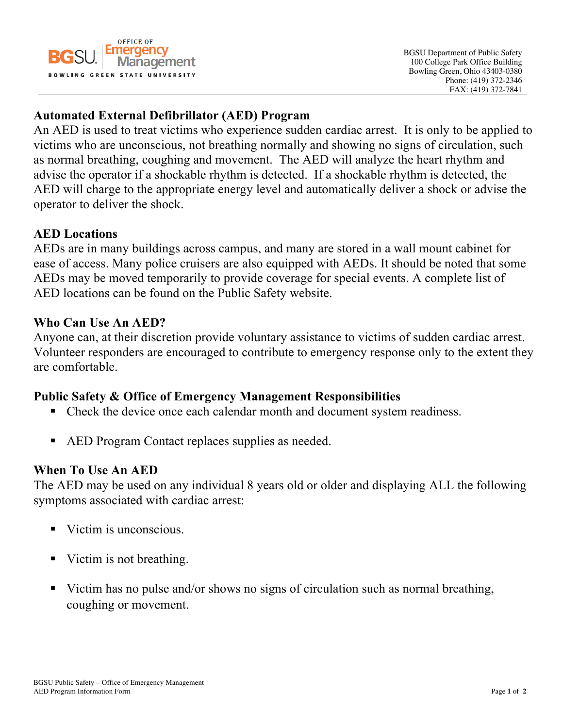

# **Automated External Defibrillator (AED) Program**

An AED is used to treat victims who experience sudden cardiac arrest. It is only to be applied to victims who are unconscious, not breathing normally and showing no signs of circulation, such as normal breathing, coughing and movement. The AED will analyze the heart rhythm and advise the operator if a shockable rhythm is detected. If a shockable rhythm is detected, the AED will charge to the appropriate energy level and automatically deliver a shock or advise the operator to deliver the shock.

#### **AED Locations**

AEDs are in many buildings across campus, and many are stored in a wall mount cabinet for ease of access. Many police cruisers are also equipped with AEDs. It should be noted that some AEDs may be moved temporarily to provide coverage for special events. A complete list of AED locations can be found on the Public Safety website.

#### **Who Can Use An AED?**

Anyone can, at their discretion provide voluntary assistance to victims of sudden cardiac arrest. Volunteer responders are encouraged to contribute to emergency response only to the extent they are comfortable.

## **Public Safety & Office of Emergency Management Responsibilities**

- Check the device once each calendar month and document system readiness.
- AED Program Contact replaces supplies as needed.

## **When To Use An AED**

The AED may be used on any individual 8 years old or older and displaying ALL the following symptoms associated with cardiac arrest:

- Victim is unconscious.
- Victim is not breathing.
- Victim has no pulse and/or shows no signs of circulation such as normal breathing, coughing or movement.